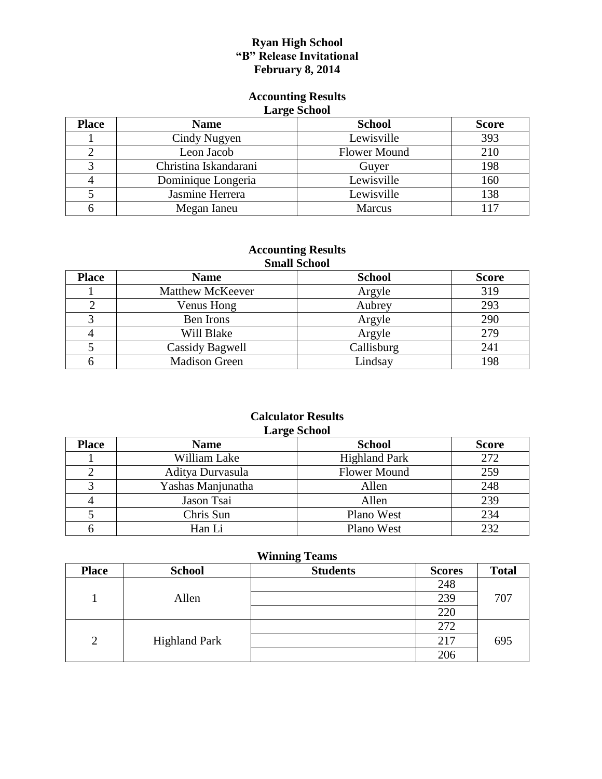### **Ryan High School "B" Release Invitational February 8, 2014**

#### **Accounting Results Large School**

| <b>Daley</b> Denote |                       |                     |              |  |
|---------------------|-----------------------|---------------------|--------------|--|
| <b>Place</b>        | <b>Name</b>           | <b>School</b>       | <b>Score</b> |  |
|                     | Cindy Nugyen          | Lewisville          | 393          |  |
|                     | Leon Jacob            | <b>Flower Mound</b> | 210          |  |
|                     | Christina Iskandarani | Guyer               | 198          |  |
|                     | Dominique Longeria    | Lewisville          | 160          |  |
|                     | Jasmine Herrera       | Lewisville          | 138          |  |
|                     | Megan Ianeu           | <b>Marcus</b>       | 117          |  |

#### **Accounting Results Small School**

| <b>DIHAH DUHUUL</b> |                         |               |              |  |
|---------------------|-------------------------|---------------|--------------|--|
| <b>Place</b>        | <b>Name</b>             | <b>School</b> | <b>Score</b> |  |
|                     | <b>Matthew McKeever</b> | Argyle        | 319          |  |
|                     | Venus Hong              | Aubrey        | 293          |  |
|                     | Ben Irons               | Argyle        | 290          |  |
|                     | Will Blake              | Argyle        | 279          |  |
|                     | Cassidy Bagwell         | Callisburg    | 241          |  |
|                     | <b>Madison Green</b>    | Lindsay       | 198          |  |

#### **Calculator Results Large School**

| --- <del></del> . ------ |                   |                      |              |
|--------------------------|-------------------|----------------------|--------------|
| <b>Place</b>             | <b>Name</b>       | <b>School</b>        | <b>Score</b> |
|                          | William Lake      | <b>Highland Park</b> | 272          |
|                          | Aditya Durvasula  | <b>Flower Mound</b>  | 259          |
|                          | Yashas Manjunatha | Allen                | 248          |
|                          | Jason Tsai        | Allen                | 239          |
|                          | Chris Sun         | Plano West           | 234          |
|                          | Han Li            | Plano West           | 232          |

| <b>Place</b>   | <b>School</b>        | 0<br><b>Students</b> | <b>Scores</b> | <b>Total</b> |
|----------------|----------------------|----------------------|---------------|--------------|
|                |                      |                      | 248           |              |
|                | Allen                |                      | 239           | 707          |
|                |                      |                      | 220           |              |
|                |                      |                      | 272           |              |
| $\overline{2}$ | <b>Highland Park</b> |                      | 217           | 695          |
|                |                      |                      | 206           |              |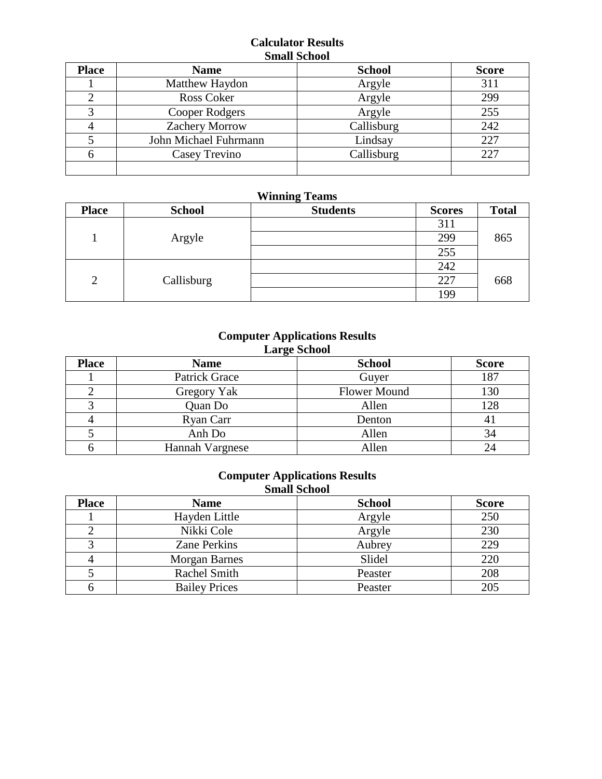### **Calculator Results Small School**

| <b>Place</b> | <b>Name</b>           | <b>School</b> | <b>Score</b> |
|--------------|-----------------------|---------------|--------------|
|              | Matthew Haydon        | Argyle        | 311          |
|              | Ross Coker            | Argyle        | 299          |
|              | Cooper Rodgers        | Argyle        | 255          |
| 4            | <b>Zachery Morrow</b> | Callisburg    | 242          |
|              | John Michael Fuhrmann | Lindsay       | 227          |
| 6            | Casey Trevino         | Callisburg    | 227          |
|              |                       |               |              |

### **Winning Teams**

| <b>Place</b> | <b>School</b> | <b>Students</b> | <b>Scores</b> | <b>Total</b> |
|--------------|---------------|-----------------|---------------|--------------|
|              |               |                 | 311           |              |
|              | Argyle        |                 | 299           | 865          |
|              |               |                 | 255           |              |
| 2            | Callisburg    |                 | 242           |              |
|              |               |                 | 227           | 668          |
|              |               |                 | 199           |              |

### **Computer Applications Results**

| <b>Large School</b> |                 |                     |              |  |
|---------------------|-----------------|---------------------|--------------|--|
| <b>Place</b>        | <b>Name</b>     | <b>School</b>       | <b>Score</b> |  |
|                     | Patrick Grace   | Guyer               | 187          |  |
|                     | Gregory Yak     | <b>Flower Mound</b> | 130          |  |
|                     | Quan Do         | Allen               | 128          |  |
|                     | Ryan Carr       | Denton              | 41           |  |
|                     | Anh Do          | Allen               | 34           |  |
|                     | Hannah Vargnese | Allen               | 24           |  |

### **Computer Applications Results Small School**

| <b>Place</b> | <b>Name</b>          | <b>School</b> | <b>Score</b> |
|--------------|----------------------|---------------|--------------|
|              | Hayden Little        | Argyle        | 250          |
|              | Nikki Cole           | Argyle        | 230          |
|              | <b>Zane Perkins</b>  | Aubrey        | 229          |
|              | <b>Morgan Barnes</b> | Slidel        | 220          |
|              | Rachel Smith         | Peaster       | 208          |
|              | <b>Bailey Prices</b> | Peaster       | 205          |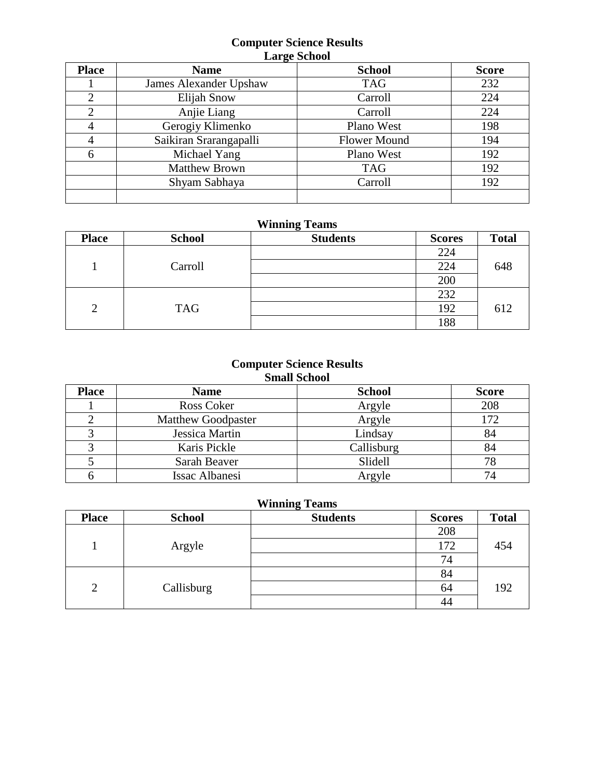### **Computer Science Results Large School**

| <b>Place</b>   | ີ<br><b>Name</b>       | <b>School</b>       | <b>Score</b> |
|----------------|------------------------|---------------------|--------------|
|                | James Alexander Upshaw | <b>TAG</b>          | 232          |
| $\overline{2}$ | <b>Elijah Snow</b>     | Carroll             | 224          |
| $\overline{2}$ | Anjie Liang            | Carroll             | 224          |
|                | Gerogiy Klimenko       | Plano West          | 198          |
| 4              | Saikiran Srarangapalli | <b>Flower Mound</b> | 194          |
| 6              | Michael Yang           | Plano West          | 192          |
|                | <b>Matthew Brown</b>   | <b>TAG</b>          | 192          |
|                | Shyam Sabhaya          | Carroll             | 192          |
|                |                        |                     |              |

# **Winning Teams**

| <b>Place</b>   | <b>School</b> | $\tilde{}$<br><b>Students</b> | <b>Scores</b> | <b>Total</b> |
|----------------|---------------|-------------------------------|---------------|--------------|
|                |               |                               | 224           |              |
|                | Carroll       |                               | 224           | 648          |
|                |               |                               | 200           |              |
|                |               |                               | 232           |              |
| $\overline{2}$ | <b>TAG</b>    |                               | 192           | 612          |
|                |               |                               | 188           |              |

### **Computer Science Results Small School**

| <b>Place</b> | <b>Name</b>               | <b>School</b> | <b>Score</b> |
|--------------|---------------------------|---------------|--------------|
|              | Ross Coker                | Argyle        | 208          |
|              | <b>Matthew Goodpaster</b> | Argyle        | 172          |
|              | Jessica Martin            | Lindsay       | 84           |
|              | Karis Pickle              | Callisburg    | 84           |
|              | Sarah Beaver              | Slidell       | 78           |
|              | <b>Issac Albanesi</b>     | Argyle        | 74           |

| <b>Place</b>   | <b>School</b> | ັ<br><b>Students</b> | <b>Scores</b> | <b>Total</b> |
|----------------|---------------|----------------------|---------------|--------------|
|                |               |                      | 208           |              |
|                | Argyle        |                      | 172           | 454          |
|                |               |                      | 74            |              |
| $\overline{2}$ | Callisburg    |                      | 84            |              |
|                |               |                      | 64            | 192          |
|                |               |                      | 44            |              |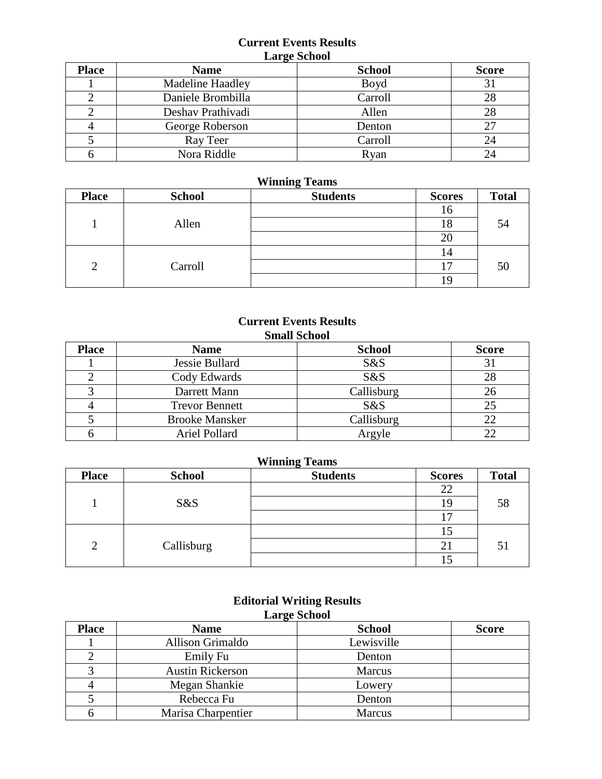### **Current Events Results Large School**

| <b>Place</b> | ້<br><b>Name</b>        | <b>School</b> | <b>Score</b> |
|--------------|-------------------------|---------------|--------------|
|              | <b>Madeline Haadley</b> | Boyd          | 31           |
|              | Daniele Brombilla       | Carroll       | 28           |
|              | Deshav Prathivadi       | Allen         | 28           |
|              | George Roberson         | Denton        | 27           |
|              | Ray Teer                | Carroll       | 24           |
|              | Nora Riddle             | Ryan          | 24           |

### **Winning Teams**

| <b>Place</b> | <b>School</b> | <b>Students</b> | <b>Scores</b> | <b>Total</b> |
|--------------|---------------|-----------------|---------------|--------------|
|              |               |                 | 16            |              |
|              | Allen         |                 | 18            | 54           |
|              |               |                 | 20            |              |
|              |               |                 | 14            |              |
| 2            | Carroll       |                 | -             | 50           |
|              |               |                 |               |              |

### **Current Events Results Small School**

| <b>Place</b> | <b>Name</b>           | <b>School</b> | <b>Score</b> |
|--------------|-----------------------|---------------|--------------|
|              | Jessie Bullard        | S&S           | 31           |
|              | Cody Edwards          | S&S           | 28           |
|              | Darrett Mann          | Callisburg    | 26           |
|              | <b>Trevor Bennett</b> | S&S           | 25           |
|              | <b>Brooke Mansker</b> | Callisburg    | 22           |
|              | Ariel Pollard         | Argyle        | 22           |

# **Winning Teams**

| <b>Place</b> | <b>School</b> | ້<br><b>Students</b> | <b>Scores</b>            | <b>Total</b> |
|--------------|---------------|----------------------|--------------------------|--------------|
|              |               |                      | 22                       |              |
|              | S&S           |                      |                          | 58           |
|              |               |                      | $\overline{\phantom{0}}$ |              |
|              |               |                      |                          |              |
| റ<br>∽       | Callisburg    |                      | ∠⊥                       | 5            |
|              |               |                      |                          |              |

| <b>Large School</b> |                         |               |              |  |
|---------------------|-------------------------|---------------|--------------|--|
| <b>Place</b>        | <b>Name</b>             | <b>School</b> | <b>Score</b> |  |
|                     | <b>Allison Grimaldo</b> | Lewisville    |              |  |
|                     | Emily Fu                | Denton        |              |  |
|                     | <b>Austin Rickerson</b> | <b>Marcus</b> |              |  |
|                     | Megan Shankie           | Lowery        |              |  |
|                     | Rebecca Fu              | Denton        |              |  |
|                     | Marisa Charpentier      | <b>Marcus</b> |              |  |

### **Editorial Writing Results Large School**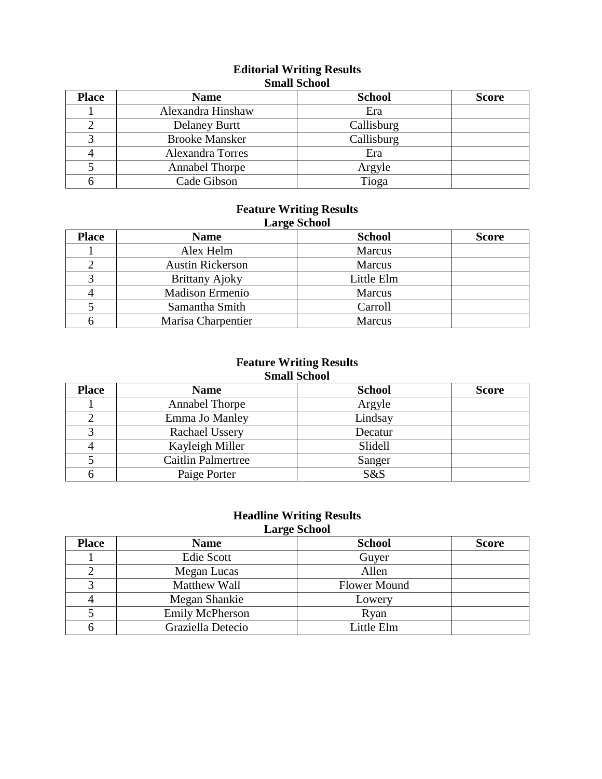### **Editorial Writing Results Small School**

| <b>Place</b> | <b>Name</b>           | <b>School</b> | <b>Score</b> |
|--------------|-----------------------|---------------|--------------|
|              | Alexandra Hinshaw     | Era           |              |
|              | <b>Delaney Burtt</b>  | Callisburg    |              |
|              | <b>Brooke Mansker</b> | Callisburg    |              |
|              | Alexandra Torres      | Era           |              |
|              | Annabel Thorpe        | Argyle        |              |
|              | Cade Gibson           | Tioga         |              |

### **Feature Writing Results Large School**

| <b>Place</b> | <b>Name</b>             | <b>School</b> | <b>Score</b> |
|--------------|-------------------------|---------------|--------------|
|              | Alex Helm               | Marcus        |              |
|              | <b>Austin Rickerson</b> | <b>Marcus</b> |              |
|              | <b>Brittany Ajoky</b>   | Little Elm    |              |
|              | <b>Madison Ermenio</b>  | <b>Marcus</b> |              |
|              | Samantha Smith          | Carroll       |              |
|              | Marisa Charpentier      | <b>Marcus</b> |              |

### **Feature Writing Results Small School**

| <b>Place</b> | <b>Name</b>               | <b>School</b> | <b>Score</b> |
|--------------|---------------------------|---------------|--------------|
|              | <b>Annabel Thorpe</b>     | Argyle        |              |
|              | Emma Jo Manley            | Lindsay       |              |
|              | Rachael Ussery            | Decatur       |              |
|              | Kayleigh Miller           | Slidell       |              |
|              | <b>Caitlin Palmertree</b> | Sanger        |              |
|              | Paige Porter              | S&S           |              |

### **Headline Writing Results Large School**

| <b>Place</b> | $\bullet$<br><b>Name</b> | <b>School</b>       | <b>Score</b> |
|--------------|--------------------------|---------------------|--------------|
|              | Edie Scott               | Guyer               |              |
|              | Megan Lucas              | Allen               |              |
|              | Matthew Wall             | <b>Flower Mound</b> |              |
|              | Megan Shankie            | Lowery              |              |
|              | <b>Emily McPherson</b>   | Ryan                |              |
|              | Graziella Detecio        | Little Elm          |              |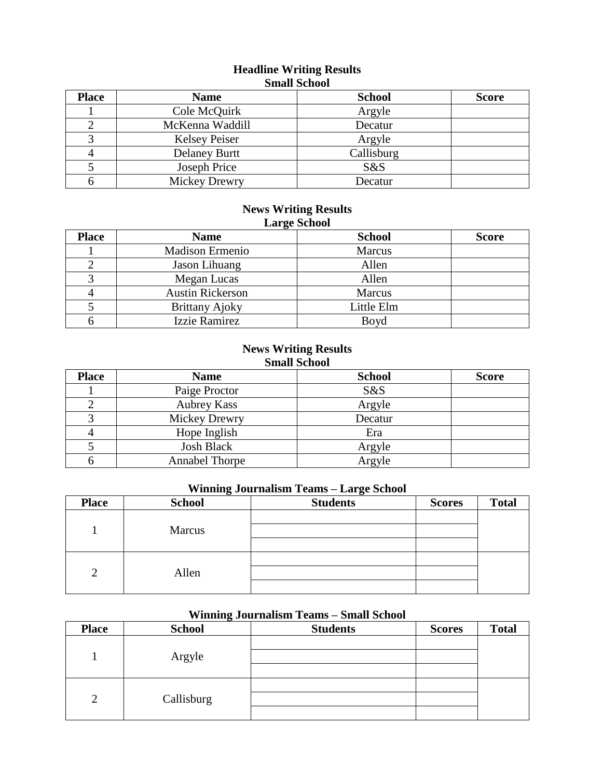### **Headline Writing Results Small School**

| <b>Place</b> | <b>Name</b>          | <b>School</b> | <b>Score</b> |
|--------------|----------------------|---------------|--------------|
|              | Cole McQuirk         | Argyle        |              |
|              | McKenna Waddill      | Decatur       |              |
|              | <b>Kelsey Peiser</b> | Argyle        |              |
|              | <b>Delaney Burtt</b> | Callisburg    |              |
|              | Joseph Price         | S&S           |              |
|              | Mickey Drewry        | Decatur       |              |

### **News Writing Results Large School**

| <b>Place</b> | $\bullet$<br><b>Name</b> | <b>School</b> | <b>Score</b> |
|--------------|--------------------------|---------------|--------------|
|              | <b>Madison Ermenio</b>   | Marcus        |              |
|              | Jason Lihuang            | Allen         |              |
|              | Megan Lucas              | Allen         |              |
|              | <b>Austin Rickerson</b>  | Marcus        |              |
|              | <b>Brittany Ajoky</b>    | Little Elm    |              |
|              | Izzie Ramirez            | Boyd          |              |

# **News Writing Results**

### **Small School**

| <b>Place</b> | <b>Name</b>           | <b>School</b> | <b>Score</b> |
|--------------|-----------------------|---------------|--------------|
|              | Paige Proctor         | S&S           |              |
|              | <b>Aubrey Kass</b>    | Argyle        |              |
|              | Mickey Drewry         | Decatur       |              |
|              | Hope Inglish          | Era           |              |
|              | <b>Josh Black</b>     | Argyle        |              |
|              | <b>Annabel Thorpe</b> | Argyle        |              |

# **Winning Journalism Teams – Large School**

| <b>Place</b> | <b>School</b> | <b>Students</b> | <b>Scores</b> | <b>Total</b> |
|--------------|---------------|-----------------|---------------|--------------|
|              | Marcus        |                 |               |              |
|              |               |                 |               |              |
|              |               |                 |               |              |
| ◠            | Allen         |                 |               |              |
|              |               |                 |               |              |

# **Winning Journalism Teams – Small School**

| <b>Place</b>   | <b>School</b> | <b>Students</b> | <b>Scores</b> | <b>Total</b> |
|----------------|---------------|-----------------|---------------|--------------|
|                | Argyle        |                 |               |              |
| $\overline{2}$ | Callisburg    |                 |               |              |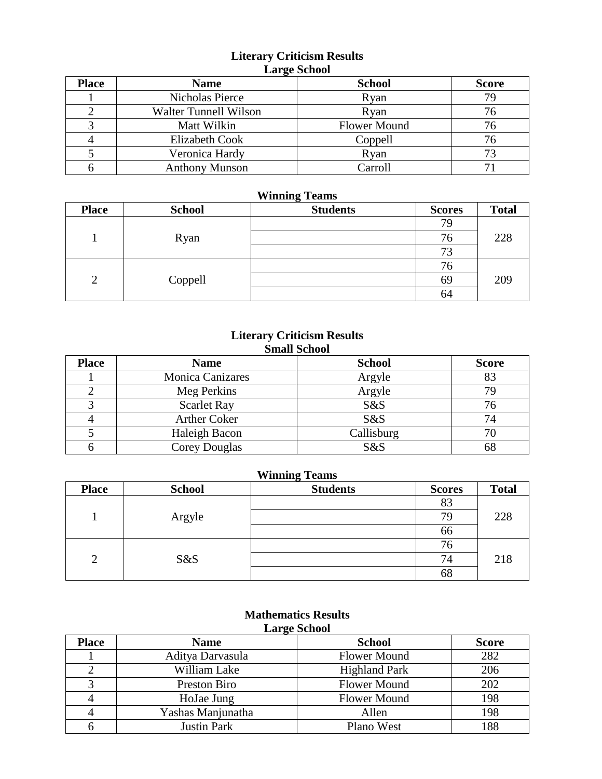### **Literary Criticism Results Large School**

| <b>Place</b> | <b>Name</b>                  | <b>School</b>       | <b>Score</b> |
|--------------|------------------------------|---------------------|--------------|
|              | Nicholas Pierce              | Ryan                | 79           |
|              | <b>Walter Tunnell Wilson</b> | Ryan                |              |
|              | Matt Wilkin                  | <b>Flower Mound</b> |              |
|              | <b>Elizabeth Cook</b>        | Coppell             |              |
|              | Veronica Hardy               | Ryan                | 73           |
|              | <b>Anthony Munson</b>        | Carroll             | $\mathbf{r}$ |

### **Winning Teams**

| <b>Place</b>              | <b>School</b> | <b>Students</b> | <b>Scores</b> | <b>Total</b> |
|---------------------------|---------------|-----------------|---------------|--------------|
|                           |               |                 | 79            |              |
|                           | Ryan          |                 | 76            | 228          |
|                           |               |                 | 73            |              |
|                           |               |                 | 76            |              |
| $\overline{2}$<br>Coppell |               |                 | 69            | 209          |
|                           |               |                 | 64            |              |

### **Literary Criticism Results Small School**

| <b>Place</b> | <b>Name</b>             | <b>School</b> | <b>Score</b> |
|--------------|-------------------------|---------------|--------------|
|              | <b>Monica Canizares</b> | Argyle        |              |
|              | Meg Perkins             | Argyle        | 79           |
|              | <b>Scarlet Ray</b>      | S&S           |              |
|              | <b>Arther Coker</b>     | S&S           | 74           |
|              | Haleigh Bacon           | Callisburg    |              |
|              | <b>Corey Douglas</b>    | S&S           | 68           |

### **Winning Teams**

| <b>Place</b>   | <b>School</b> | <b>Students</b> | <b>Scores</b> | <b>Total</b> |
|----------------|---------------|-----------------|---------------|--------------|
|                |               |                 | 83            |              |
|                | Argyle        |                 | 79            | 228          |
|                |               |                 | 66            |              |
| $\overline{2}$ | S&S           |                 | 76            |              |
|                |               |                 | 74            | 218          |
|                |               |                 | 68            |              |

#### **Mathematics Results Large School**

|              | --- <del>-</del> ----- |                      |              |  |  |
|--------------|------------------------|----------------------|--------------|--|--|
| <b>Place</b> | <b>Name</b>            | <b>School</b>        | <b>Score</b> |  |  |
|              | Aditya Darvasula       | <b>Flower Mound</b>  | 282          |  |  |
|              | William Lake           | <b>Highland Park</b> | 206          |  |  |
| 2            | Preston Biro           | <b>Flower Mound</b>  | 202          |  |  |
|              | HoJae Jung             | <b>Flower Mound</b>  | 198          |  |  |
| 4            | Yashas Manjunatha      | Allen                | 198          |  |  |
|              | Justin Park            | Plano West           | 188          |  |  |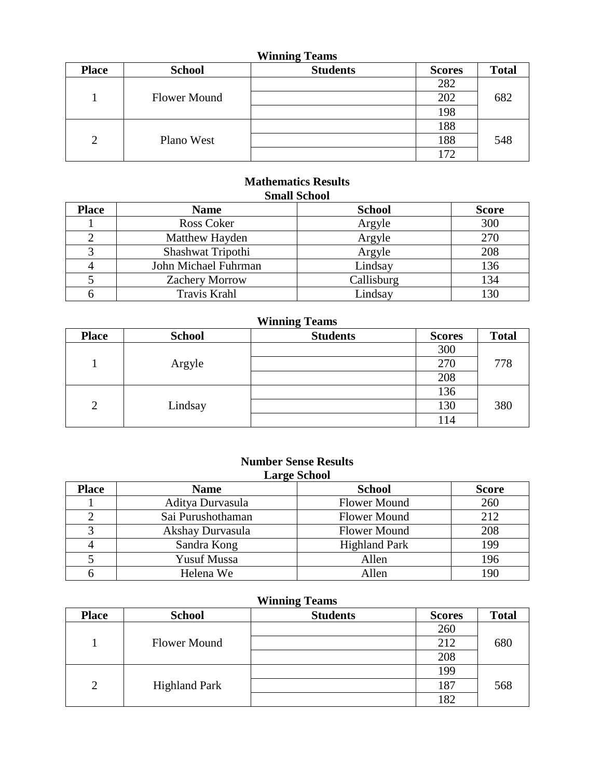| <b>Winning Teams</b> |                     |                 |               |              |
|----------------------|---------------------|-----------------|---------------|--------------|
| <b>Place</b>         | <b>School</b>       | <b>Students</b> | <b>Scores</b> | <b>Total</b> |
|                      |                     |                 | 282           |              |
|                      | <b>Flower Mound</b> |                 | 202           | 682          |
|                      |                     |                 | 198           |              |
|                      |                     |                 | 188           |              |
| $\overline{2}$       | Plano West          |                 | 188           | 548          |
|                      |                     |                 | 172           |              |

### **Mathematics Results Small School**

| <b>Place</b> | <b>Name</b>           | <b>School</b> | <b>Score</b> |  |  |  |
|--------------|-----------------------|---------------|--------------|--|--|--|
|              | Ross Coker            | Argyle        | 300          |  |  |  |
|              | Matthew Hayden        | Argyle        | 270          |  |  |  |
|              | Shashwat Tripothi     | Argyle        | 208          |  |  |  |
|              | John Michael Fuhrman  | Lindsay       | 136          |  |  |  |
|              | <b>Zachery Morrow</b> | Callisburg    | 134          |  |  |  |
|              | Travis Krahl          | Lindsay       | 130          |  |  |  |

# **Winning Teams**

| <b>Place</b> | <b>School</b> | <b>Students</b> | <b>Scores</b> | <b>Total</b> |
|--------------|---------------|-----------------|---------------|--------------|
|              |               |                 | 300           |              |
|              | Argyle        |                 | 270           | 778          |
|              |               |                 | 208           |              |
| 2            | Lindsay       |                 | 136           |              |
|              |               |                 | 130           | 380          |
|              |               |                 | 114           |              |

### **Number Sense Results Large School**

| <b>Place</b> | <b>Name</b>        | <b>School</b>        | <b>Score</b> |
|--------------|--------------------|----------------------|--------------|
|              | Aditya Durvasula   | <b>Flower Mound</b>  | 260          |
|              | Sai Purushothaman  | <b>Flower Mound</b>  | 212          |
|              | Akshay Durvasula   | <b>Flower Mound</b>  | 208          |
|              | Sandra Kong        | <b>Highland Park</b> | 199          |
|              | <b>Yusuf Mussa</b> | Allen                | 196          |
|              | Helena We          | Allen                | 190          |

| <b>Place</b>   | <b>School</b>        | <b>Students</b> | <b>Scores</b> | <b>Total</b> |
|----------------|----------------------|-----------------|---------------|--------------|
|                |                      |                 | 260           |              |
|                | Flower Mound         |                 | 212           | 680          |
|                |                      |                 | 208           |              |
| $\overline{2}$ | <b>Highland Park</b> |                 | 199           |              |
|                |                      |                 | 187           | 568          |
|                |                      |                 | 182           |              |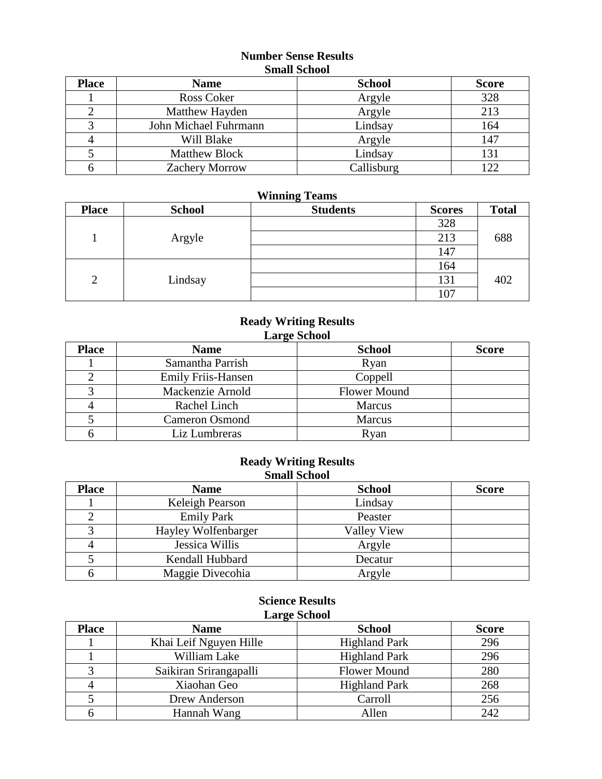### **Number Sense Results Small School**

| <b>Place</b> | <b>Name</b>           | <b>School</b> | <b>Score</b> |
|--------------|-----------------------|---------------|--------------|
|              | Ross Coker            | Argyle        | 328          |
|              | Matthew Hayden        | Argyle        | 213          |
|              | John Michael Fuhrmann | Lindsay       | 164          |
|              | Will Blake            | Argyle        | 147          |
|              | <b>Matthew Block</b>  | Lindsay       | 131          |
|              | <b>Zachery Morrow</b> | Callisburg    | 122          |

### **Winning Teams**

| <b>Place</b>   | <b>School</b> | <b>Students</b> | <b>Scores</b> | <b>Total</b> |
|----------------|---------------|-----------------|---------------|--------------|
|                |               |                 | 328           |              |
|                | Argyle        |                 | 213           | 688          |
|                |               |                 | 147           |              |
|                |               |                 | 164           |              |
| $\overline{2}$ | Lindsay       |                 | 131           | 402          |
|                |               |                 | 107           |              |

### **Ready Writing Results Large School**

| <b>Place</b> | <b>Name</b>               | <b>School</b>       | <b>Score</b> |
|--------------|---------------------------|---------------------|--------------|
|              | Samantha Parrish          | Ryan                |              |
|              | <b>Emily Friis-Hansen</b> | Coppell             |              |
|              | Mackenzie Arnold          | <b>Flower Mound</b> |              |
|              | Rachel Linch              | Marcus              |              |
|              | <b>Cameron Osmond</b>     | Marcus              |              |
|              | Liz Lumbreras             | Ryan                |              |

### **Ready Writing Results Small School**

| <b>Place</b> | <b>Name</b>         | <b>School</b> | <b>Score</b> |
|--------------|---------------------|---------------|--------------|
|              | Keleigh Pearson     | Lindsay       |              |
|              | <b>Emily Park</b>   | Peaster       |              |
|              | Hayley Wolfenbarger | Valley View   |              |
|              | Jessica Willis      | Argyle        |              |
|              | Kendall Hubbard     | Decatur       |              |
|              | Maggie Divecohia    | Argyle        |              |

### **Science Results Large School**

| <b>Place</b> | ້<br><b>Name</b>       | <b>School</b>        | <b>Score</b> |
|--------------|------------------------|----------------------|--------------|
|              | Khai Leif Nguyen Hille | <b>Highland Park</b> | 296          |
|              | William Lake           | <b>Highland Park</b> | 296          |
|              | Saikiran Srirangapalli | <b>Flower Mound</b>  | 280          |
|              | Xiaohan Geo            | <b>Highland Park</b> | 268          |
|              | Drew Anderson          | Carroll              | 256          |
|              | Hannah Wang            | Allen                | 242          |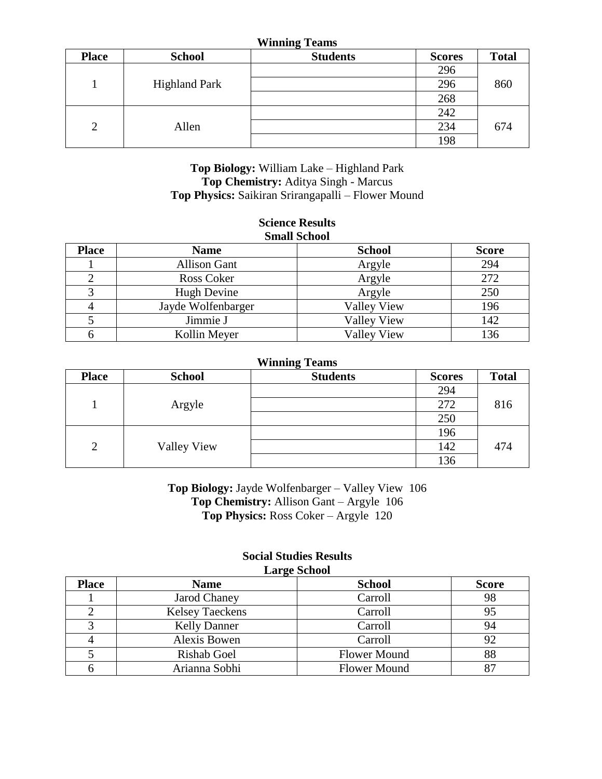#### **Winning Teams**

| <b>Place</b>   | <b>School</b>        | <b>Students</b> | <b>Scores</b> | <b>Total</b> |
|----------------|----------------------|-----------------|---------------|--------------|
|                |                      |                 | 296           |              |
|                | <b>Highland Park</b> |                 | 296           | 860          |
|                |                      |                 | 268           |              |
| $\overline{2}$ |                      |                 | 242           |              |
|                | Allen                |                 | 234           | 674          |
|                |                      |                 | 198           |              |

### **Top Biology:** William Lake – Highland Park **Top Chemistry:** Aditya Singh - Marcus **Top Physics:** Saikiran Srirangapalli – Flower Mound

#### **Science Results Small School**

| опши осной   |                     |                    |              |  |
|--------------|---------------------|--------------------|--------------|--|
| <b>Place</b> | <b>Name</b>         | <b>School</b>      | <b>Score</b> |  |
|              | <b>Allison Gant</b> | Argyle             | 294          |  |
|              | Ross Coker          | Argyle             | 272          |  |
|              | Hugh Devine         | Argyle             | 250          |  |
|              | Jayde Wolfenbarger  | <b>Valley View</b> | 196          |  |
|              | Jimmie J            | <b>Valley View</b> | 142          |  |
|              | Kollin Meyer        | <b>Valley View</b> | 136          |  |

#### **Winning Teams**

| <b>Place</b>   | <b>School</b>      | $\tilde{}$<br><b>Students</b> | <b>Scores</b> | <b>Total</b> |
|----------------|--------------------|-------------------------------|---------------|--------------|
|                |                    |                               | 294           |              |
|                | Argyle             |                               | 272           | 816          |
|                |                    |                               | 250           | 474          |
|                |                    |                               | 196           |              |
| $\overline{2}$ | <b>Valley View</b> |                               | 142           |              |
|                |                    |                               | 136           |              |

**Top Biology:** Jayde Wolfenbarger – Valley View 106 **Top Chemistry:** Allison Gant – Argyle 106 **Top Physics:** Ross Coker – Argyle 120

#### **Social Studies Results Large School**

| <b>Place</b> | <b>Name</b>            | <b>School</b>       | <b>Score</b> |  |
|--------------|------------------------|---------------------|--------------|--|
|              | Jarod Chaney           | Carroll             | 98           |  |
|              | <b>Kelsey Taeckens</b> | Carroll             | 95           |  |
|              | <b>Kelly Danner</b>    | Carroll             | 94           |  |
|              | Alexis Bowen           | Carroll             | 92           |  |
|              | <b>Rishab Goel</b>     | <b>Flower Mound</b> | 88           |  |
|              | Arianna Sobhi          | <b>Flower Mound</b> |              |  |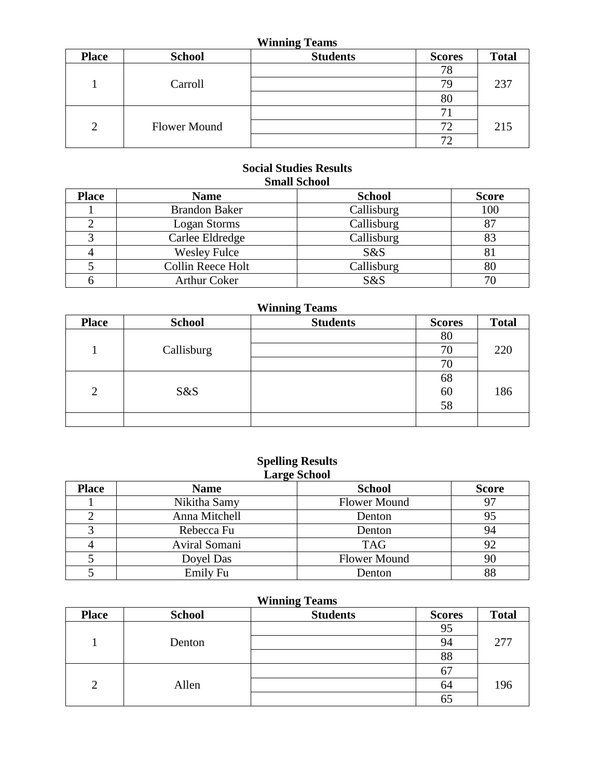# **Winning Teams**

| <b>Place</b>   | <b>School</b>       | <b>Students</b> | <b>Scores</b>            | <b>Total</b> |
|----------------|---------------------|-----------------|--------------------------|--------------|
|                |                     |                 | 78                       |              |
|                | Carroll             |                 | 79.                      | 237          |
|                |                     |                 | 80                       |              |
|                |                     |                 |                          |              |
| $\overline{2}$ | <b>Flower Mound</b> |                 | 72                       | 215          |
|                |                     |                 | $\overline{\phantom{a}}$ |              |

### **Social Studies Results Small School**

| <b>Place</b> | <b>Name</b>          | <b>School</b> | <b>Score</b> |
|--------------|----------------------|---------------|--------------|
|              | <b>Brandon Baker</b> | Callisburg    | 100          |
|              | Logan Storms         | Callisburg    | 87           |
|              | Carlee Eldredge      | Callisburg    | 83           |
|              | <b>Wesley Fulce</b>  | S&S           | 81           |
|              | Collin Reece Holt    | Callisburg    | 80           |
|              | <b>Arthur Coker</b>  | S&S           |              |

| <b>Winning Teams</b> |               |                 |               |              |
|----------------------|---------------|-----------------|---------------|--------------|
| <b>Place</b>         | <b>School</b> | <b>Students</b> | <b>Scores</b> | <b>Total</b> |
|                      |               |                 | 80            |              |
|                      | Callisburg    |                 | 70            | 220          |
|                      |               |                 | 70            |              |
|                      |               |                 | 68            |              |
| $\overline{2}$       | S&S           |                 | 60            | 186          |
|                      |               |                 | 58            |              |
|                      |               |                 |               |              |

### **Spelling Results Large School**

| <b>Place</b> | <b>Name</b>   | <b>School</b>       | <b>Score</b> |
|--------------|---------------|---------------------|--------------|
|              | Nikitha Samy  | <b>Flower Mound</b> | 97           |
|              | Anna Mitchell | Denton              | 95           |
|              | Rebecca Fu    | Denton              | 94           |
|              | Aviral Somani | <b>TAG</b>          | 92           |
|              | Doyel Das     | <b>Flower Mound</b> | 90           |
|              | Emily Fu      | Denton              | 88           |

| <b>Place</b>   | <b>School</b> | <b>Students</b> | <b>Scores</b> | <b>Total</b> |
|----------------|---------------|-----------------|---------------|--------------|
|                | Denton        |                 | 95            |              |
|                |               |                 | 94            | 277          |
|                |               |                 |               | 88           |
| $\overline{2}$ | Allen         |                 | 67            |              |
|                |               |                 | 64            | 196          |
|                |               |                 | כס            |              |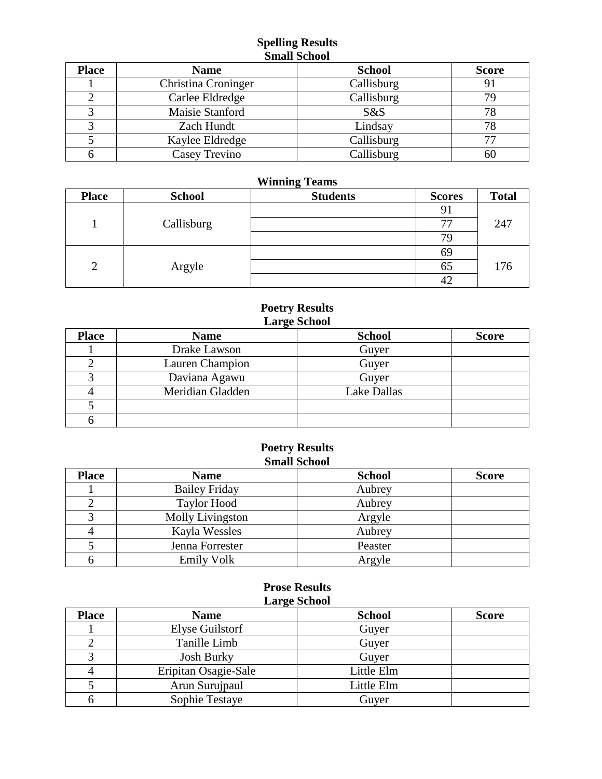### **Spelling Results Small School**

| <b>Place</b> | <b>Name</b>         | <b>School</b> | <b>Score</b> |
|--------------|---------------------|---------------|--------------|
|              | Christina Croninger | Callisburg    | 91           |
|              | Carlee Eldredge     | Callisburg    | 79           |
|              | Maisie Stanford     | S&S           | 78           |
|              | Zach Hundt          | Lindsay       |              |
|              | Kaylee Eldredge     | Callisburg    | 77           |
|              | Casey Trevino       | Callisburg    | 60           |

# **Winning Teams**

| <b>Place</b>   | <b>School</b> | <b>Students</b> | <b>Scores</b> | <b>Total</b> |
|----------------|---------------|-----------------|---------------|--------------|
|                |               |                 | 91            |              |
|                | Callisburg    |                 |               | 247          |
|                |               |                 | 79            |              |
|                |               |                 | 69            |              |
| $\overline{2}$ | Argyle        |                 | 65            | 176          |
|                |               |                 | 42            |              |

### **Poetry Results Large School**

| <b>Place</b> | <b>Name</b>      | <b>School</b>      | <b>Score</b> |  |
|--------------|------------------|--------------------|--------------|--|
|              | Drake Lawson     | Guyer              |              |  |
|              | Lauren Champion  | Guyer              |              |  |
|              | Daviana Agawu    | Guyer              |              |  |
|              | Meridian Gladden | <b>Lake Dallas</b> |              |  |
|              |                  |                    |              |  |
|              |                  |                    |              |  |

### **Poetry Results Small School**

| <b>Place</b> | <b>Name</b>          | <b>School</b> | <b>Score</b> |
|--------------|----------------------|---------------|--------------|
|              | <b>Bailey Friday</b> | Aubrey        |              |
|              | <b>Taylor Hood</b>   | Aubrey        |              |
|              | Molly Livingston     | Argyle        |              |
|              | Kayla Wessles        | Aubrey        |              |
|              | Jenna Forrester      | Peaster       |              |
|              | <b>Emily Volk</b>    | Argyle        |              |

### **Prose Results Large School**

| <b>Place</b> | $\bullet$<br><b>Name</b> | <b>School</b> | <b>Score</b> |
|--------------|--------------------------|---------------|--------------|
|              | Elyse Guilstorf          | Guyer         |              |
|              | Tanille Limb             | Guyer         |              |
|              | <b>Josh Burky</b>        | Guyer         |              |
|              | Eripitan Osagie-Sale     | Little Elm    |              |
|              | Arun Surujpaul           | Little Elm    |              |
|              | Sophie Testaye           | Guyer         |              |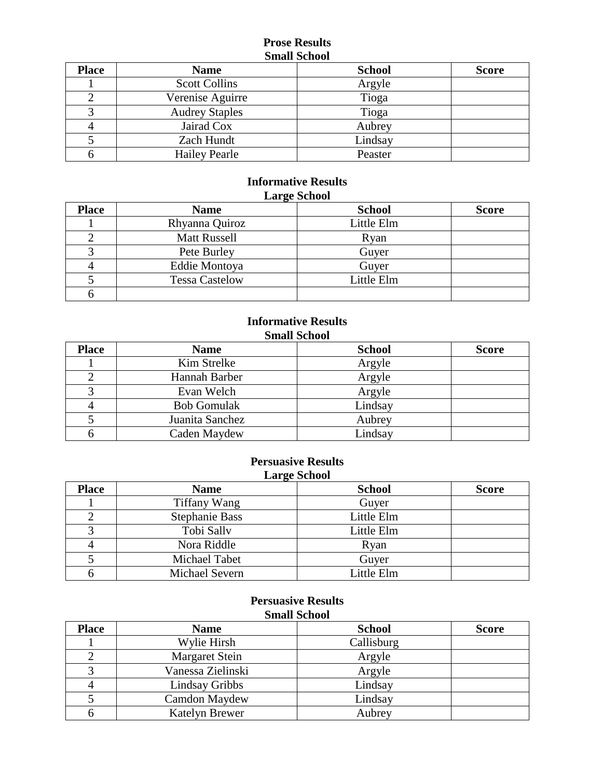#### **Prose Results Small School**

| <b>Place</b> | <b>Name</b>           | <b>School</b> | <b>Score</b> |
|--------------|-----------------------|---------------|--------------|
|              | <b>Scott Collins</b>  | Argyle        |              |
|              | Verenise Aguirre      | Tioga         |              |
|              | <b>Audrey Staples</b> | Tioga         |              |
|              | Jairad Cox            | Aubrey        |              |
|              | Zach Hundt            | Lindsay       |              |
|              | <b>Hailey Pearle</b>  | Peaster       |              |

### **Informative Results Large School**

| <b>Place</b> | <b>Name</b>           | <b>School</b> | <b>Score</b> |
|--------------|-----------------------|---------------|--------------|
|              | Rhyanna Quiroz        | Little Elm    |              |
|              | <b>Matt Russell</b>   | Ryan          |              |
|              | Pete Burley           | Guyer         |              |
|              | Eddie Montoya         | Guyer         |              |
|              | <b>Tessa Castelow</b> | Little Elm    |              |
|              |                       |               |              |

# **Informative Results Small School**

| <b>Place</b> | <b>Name</b>        | <b>School</b> | <b>Score</b> |
|--------------|--------------------|---------------|--------------|
|              | Kim Strelke        | Argyle        |              |
|              | Hannah Barber      | Argyle        |              |
|              | Evan Welch         | Argyle        |              |
|              | <b>Bob Gomulak</b> | Lindsay       |              |
|              | Juanita Sanchez    | Aubrey        |              |
|              | Caden Maydew       | Lindsay       |              |

#### **Persuasive Results Large School**

| $2000 - 20000$ |                       |               |              |  |
|----------------|-----------------------|---------------|--------------|--|
| <b>Place</b>   | <b>Name</b>           | <b>School</b> | <b>Score</b> |  |
|                | <b>Tiffany Wang</b>   | Guyer         |              |  |
|                | <b>Stephanie Bass</b> | Little Elm    |              |  |
|                | Tobi Sally            | Little Elm    |              |  |
|                | Nora Riddle           | Ryan          |              |  |
|                | Michael Tabet         | Guyer         |              |  |
|                | Michael Severn        | Little Elm    |              |  |

#### **Persuasive Results Small School**

| <b>Place</b> | <b>Name</b>           | <b>School</b> | <b>Score</b> |
|--------------|-----------------------|---------------|--------------|
|              | Wylie Hirsh           | Callisburg    |              |
|              | <b>Margaret Stein</b> | Argyle        |              |
|              | Vanessa Zielinski     | Argyle        |              |
|              | Lindsay Gribbs        | Lindsay       |              |
|              | Camdon Maydew         | Lindsay       |              |
|              | Katelyn Brewer        | Aubrey        |              |